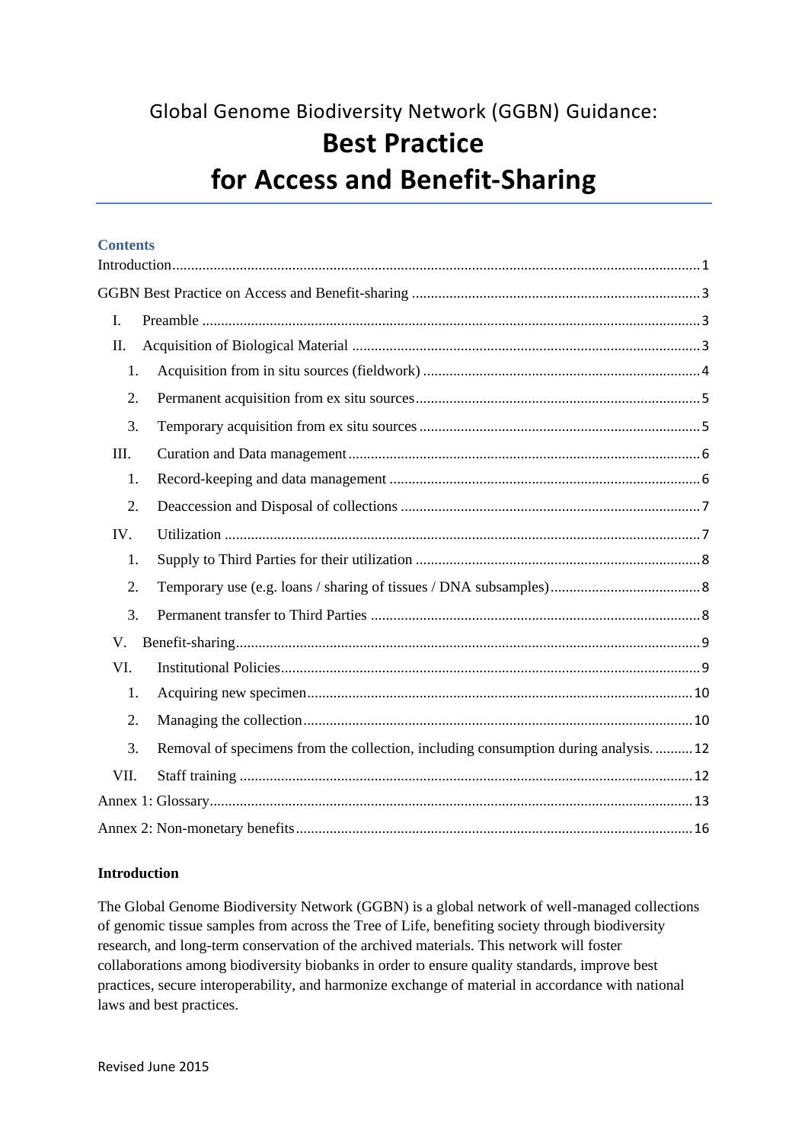Global Genome Biodiversity Network (GGBN) Guidance:

# **Best Practice for Access and Benefit-Sharing**

## **Contents**

| I.          |                                                                                   |
|-------------|-----------------------------------------------------------------------------------|
| Π.          |                                                                                   |
| 1.          |                                                                                   |
| 2.          |                                                                                   |
| 3.          |                                                                                   |
| III.        |                                                                                   |
| 1.          |                                                                                   |
| 2.          |                                                                                   |
| IV.         |                                                                                   |
| 1.          |                                                                                   |
| 2.          |                                                                                   |
| 3.          |                                                                                   |
| $V_{\cdot}$ |                                                                                   |
| VI.         |                                                                                   |
| 1.          |                                                                                   |
| 2.          |                                                                                   |
| 3.          | Removal of specimens from the collection, including consumption during analysis12 |
| VII.        |                                                                                   |
|             |                                                                                   |
|             |                                                                                   |

## <span id="page-0-0"></span>**Introduction**

The Global Genome Biodiversity Network (GGBN) is a global network of well-managed collections of genomic tissue samples from across the Tree of Life, benefiting society through biodiversity research, and long-term conservation of the archived materials. This network will foster collaborations among biodiversity biobanks in order to ensure quality standards, improve best practices, secure interoperability, and harmonize exchange of material in accordance with national laws and best practices.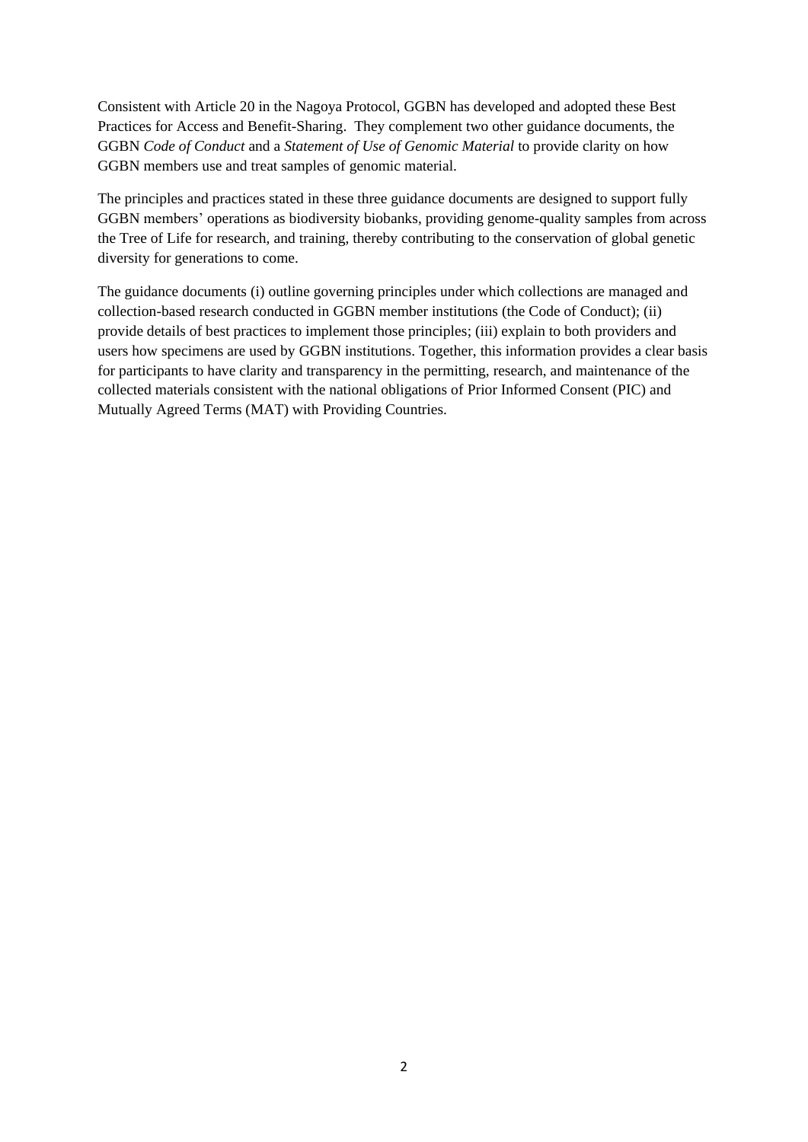Consistent with Article 20 in the Nagoya Protocol, GGBN has developed and adopted these Best Practices for Access and Benefit-Sharing. They complement two other guidance documents, the GGBN *Code of Conduct* and a *Statement of Use of Genomic Material* to provide clarity on how GGBN members use and treat samples of genomic material.

The principles and practices stated in these three guidance documents are designed to support fully GGBN members' operations as biodiversity biobanks, providing genome-quality samples from across the Tree of Life for research, and training, thereby contributing to the conservation of global genetic diversity for generations to come.

The guidance documents (i) outline governing principles under which collections are managed and collection-based research conducted in GGBN member institutions (the Code of Conduct); (ii) provide details of best practices to implement those principles; (iii) explain to both providers and users how specimens are used by GGBN institutions. Together, this information provides a clear basis for participants to have clarity and transparency in the permitting, research, and maintenance of the collected materials consistent with the national obligations of Prior Informed Consent (PIC) and Mutually Agreed Terms (MAT) with Providing Countries.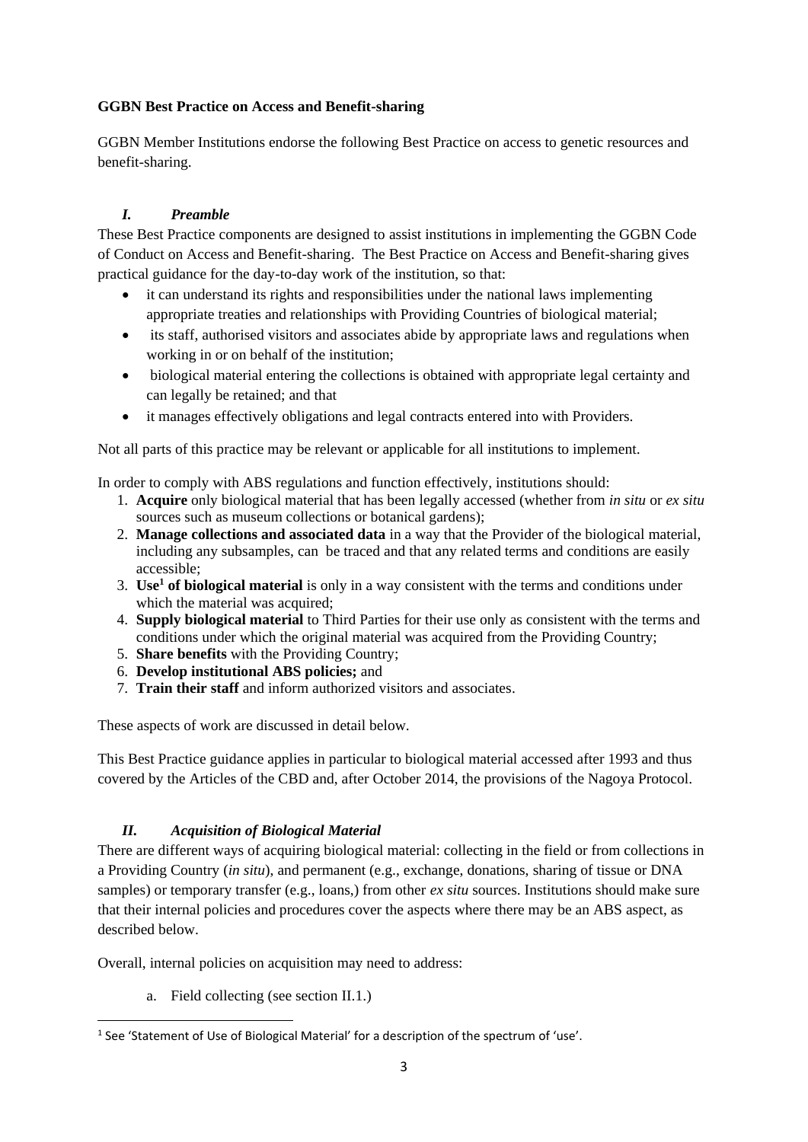## <span id="page-2-0"></span>**GGBN Best Practice on Access and Benefit-sharing**

GGBN Member Institutions endorse the following Best Practice on access to genetic resources and benefit-sharing.

## <span id="page-2-1"></span>*I. Preamble*

These Best Practice components are designed to assist institutions in implementing the GGBN Code of Conduct on Access and Benefit-sharing. The Best Practice on Access and Benefit-sharing gives practical guidance for the day-to-day work of the institution, so that:

- it can understand its rights and responsibilities under the national laws implementing appropriate treaties and relationships with Providing Countries of biological material;
- its staff, authorised visitors and associates abide by appropriate laws and regulations when working in or on behalf of the institution;
- biological material entering the collections is obtained with appropriate legal certainty and can legally be retained; and that
- it manages effectively obligations and legal contracts entered into with Providers.

Not all parts of this practice may be relevant or applicable for all institutions to implement.

In order to comply with ABS regulations and function effectively, institutions should:

- 1. **Acquire** only biological material that has been legally accessed (whether from *in situ* or *ex situ* sources such as museum collections or botanical gardens);
- 2. **Manage collections and associated data** in a way that the Provider of the biological material, including any subsamples, can be traced and that any related terms and conditions are easily accessible;
- 3. **Use<sup>1</sup> of biological material** is only in a way consistent with the terms and conditions under which the material was acquired:
- 4. **Supply biological material** to Third Parties for their use only as consistent with the terms and conditions under which the original material was acquired from the Providing Country;
- 5. **Share benefits** with the Providing Country;
- 6. **Develop institutional ABS policies;** and
- 7. **Train their staff** and inform authorized visitors and associates.

These aspects of work are discussed in detail below.

This Best Practice guidance applies in particular to biological material accessed after 1993 and thus covered by the Articles of the CBD and, after October 2014, the provisions of the Nagoya Protocol.

# <span id="page-2-2"></span>*II. Acquisition of Biological Material*

There are different ways of acquiring biological material: collecting in the field or from collections in a Providing Country (*in situ*), and permanent (e.g., exchange, donations, sharing of tissue or DNA samples) or temporary transfer (e.g., loans,) from other *ex situ* sources. Institutions should make sure that their internal policies and procedures cover the aspects where there may be an ABS aspect, as described below.

Overall, internal policies on acquisition may need to address:

a. Field collecting (see section II.1.)

**.** 

<sup>&</sup>lt;sup>1</sup> See 'Statement of Use of Biological Material' for a description of the spectrum of 'use'.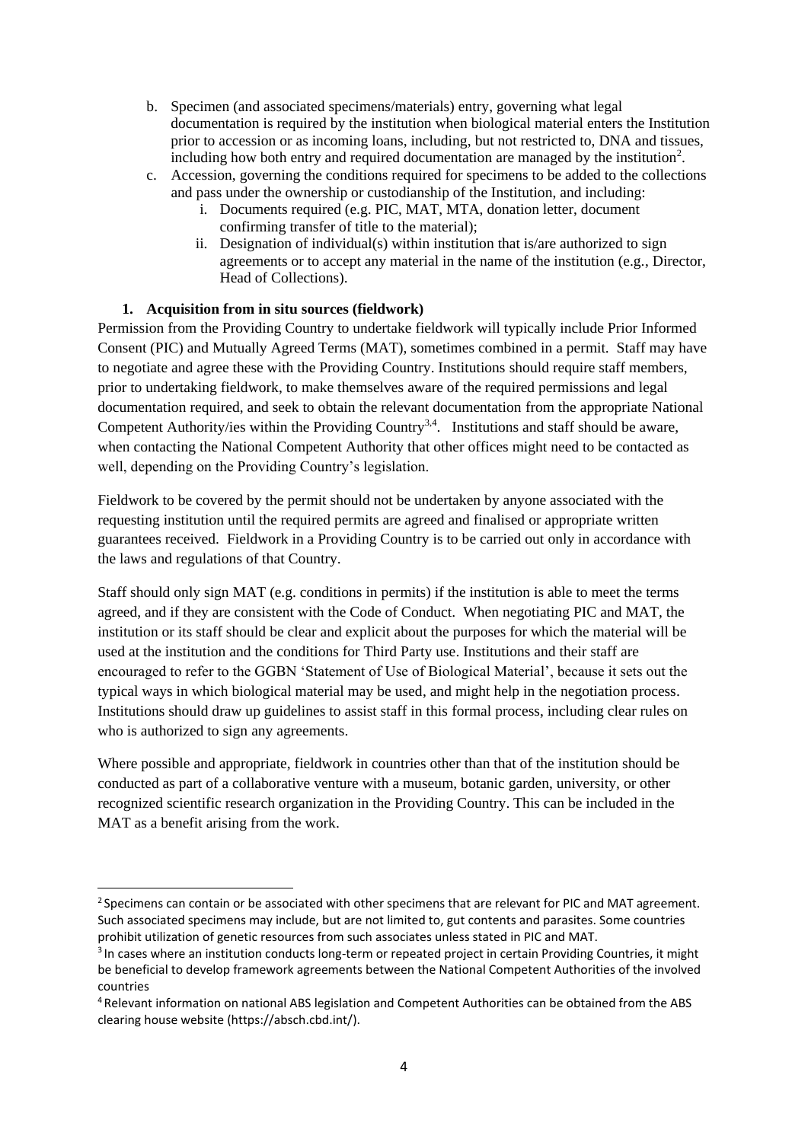- b. Specimen (and associated specimens/materials) entry, governing what legal documentation is required by the institution when biological material enters the Institution prior to accession or as incoming loans, including, but not restricted to, DNA and tissues, including how both entry and required documentation are managed by the institution<sup>2</sup>.
- c. Accession, governing the conditions required for specimens to be added to the collections and pass under the ownership or custodianship of the Institution, and including:
	- i. Documents required (e.g. PIC, MAT, MTA, donation letter, document confirming transfer of title to the material);
	- ii. Designation of individual(s) within institution that is/are authorized to sign agreements or to accept any material in the name of the institution (e.g., Director, Head of Collections).

## **1. Acquisition from in situ sources (fieldwork)**

**.** 

<span id="page-3-0"></span>Permission from the Providing Country to undertake fieldwork will typically include Prior Informed Consent (PIC) and Mutually Agreed Terms (MAT), sometimes combined in a permit. Staff may have to negotiate and agree these with the Providing Country. Institutions should require staff members, prior to undertaking fieldwork, to make themselves aware of the required permissions and legal documentation required, and seek to obtain the relevant documentation from the appropriate National Competent Authority/ies within the Providing Country<sup>3,4</sup>. Institutions and staff should be aware, when contacting the National Competent Authority that other offices might need to be contacted as well, depending on the Providing Country's legislation.

Fieldwork to be covered by the permit should not be undertaken by anyone associated with the requesting institution until the required permits are agreed and finalised or appropriate written guarantees received. Fieldwork in a Providing Country is to be carried out only in accordance with the laws and regulations of that Country.

Staff should only sign MAT (e.g. conditions in permits) if the institution is able to meet the terms agreed, and if they are consistent with the Code of Conduct. When negotiating PIC and MAT, the institution or its staff should be clear and explicit about the purposes for which the material will be used at the institution and the conditions for Third Party use. Institutions and their staff are encouraged to refer to the GGBN 'Statement of Use of Biological Material', because it sets out the typical ways in which biological material may be used, and might help in the negotiation process. Institutions should draw up guidelines to assist staff in this formal process, including clear rules on who is authorized to sign any agreements.

Where possible and appropriate, fieldwork in countries other than that of the institution should be conducted as part of a collaborative venture with a museum, botanic garden, university, or other recognized scientific research organization in the Providing Country. This can be included in the MAT as a benefit arising from the work.

<sup>&</sup>lt;sup>2</sup> Specimens can contain or be associated with other specimens that are relevant for PIC and MAT agreement. Such associated specimens may include, but are not limited to, gut contents and parasites. Some countries prohibit utilization of genetic resources from such associates unless stated in PIC and MAT.

<sup>&</sup>lt;sup>3</sup> In cases where an institution conducts long-term or repeated project in certain Providing Countries, it might be beneficial to develop framework agreements between the National Competent Authorities of the involved countries

<sup>4</sup> Relevant information on national ABS legislation and Competent Authorities can be obtained from the ABS clearing house website [\(https://absch.cbd.int/\)](https://absch.cbd.int/).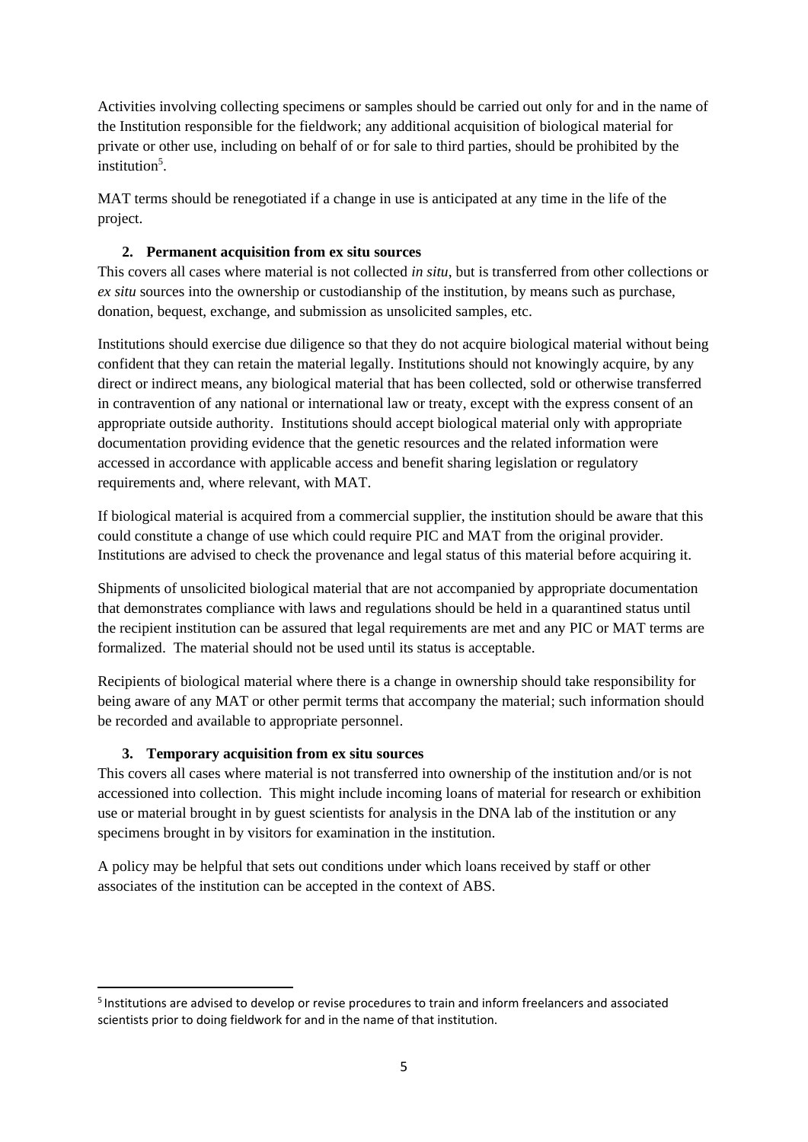Activities involving collecting specimens or samples should be carried out only for and in the name of the Institution responsible for the fieldwork; any additional acquisition of biological material for private or other use, including on behalf of or for sale to third parties, should be prohibited by the institution<sup>5</sup>.

MAT terms should be renegotiated if a change in use is anticipated at any time in the life of the project.

## **2. Permanent acquisition from ex situ sources**

<span id="page-4-0"></span>This covers all cases where material is not collected *in situ*, but is transferred from other collections or *ex situ* sources into the ownership or custodianship of the institution, by means such as purchase, donation, bequest, exchange, and submission as unsolicited samples, etc.

Institutions should exercise due diligence so that they do not acquire biological material without being confident that they can retain the material legally. Institutions should not knowingly acquire, by any direct or indirect means, any biological material that has been collected, sold or otherwise transferred in contravention of any national or international law or treaty, except with the express consent of an appropriate outside authority. Institutions should accept biological material only with appropriate documentation providing evidence that the genetic resources and the related information were accessed in accordance with applicable access and benefit sharing legislation or regulatory requirements and, where relevant, with MAT.

If biological material is acquired from a commercial supplier, the institution should be aware that this could constitute a change of use which could require PIC and MAT from the original provider. Institutions are advised to check the provenance and legal status of this material before acquiring it.

Shipments of unsolicited biological material that are not accompanied by appropriate documentation that demonstrates compliance with laws and regulations should be held in a quarantined status until the recipient institution can be assured that legal requirements are met and any PIC or MAT terms are formalized. The material should not be used until its status is acceptable.

Recipients of biological material where there is a change in ownership should take responsibility for being aware of any MAT or other permit terms that accompany the material; such information should be recorded and available to appropriate personnel.

## **3. Temporary acquisition from ex situ sources**

**.** 

<span id="page-4-1"></span>This covers all cases where material is not transferred into ownership of the institution and/or is not accessioned into collection. This might include incoming loans of material for research or exhibition use or material brought in by guest scientists for analysis in the DNA lab of the institution or any specimens brought in by visitors for examination in the institution.

A policy may be helpful that sets out conditions under which loans received by staff or other associates of the institution can be accepted in the context of ABS.

<sup>&</sup>lt;sup>5</sup> Institutions are advised to develop or revise procedures to train and inform freelancers and associated scientists prior to doing fieldwork for and in the name of that institution.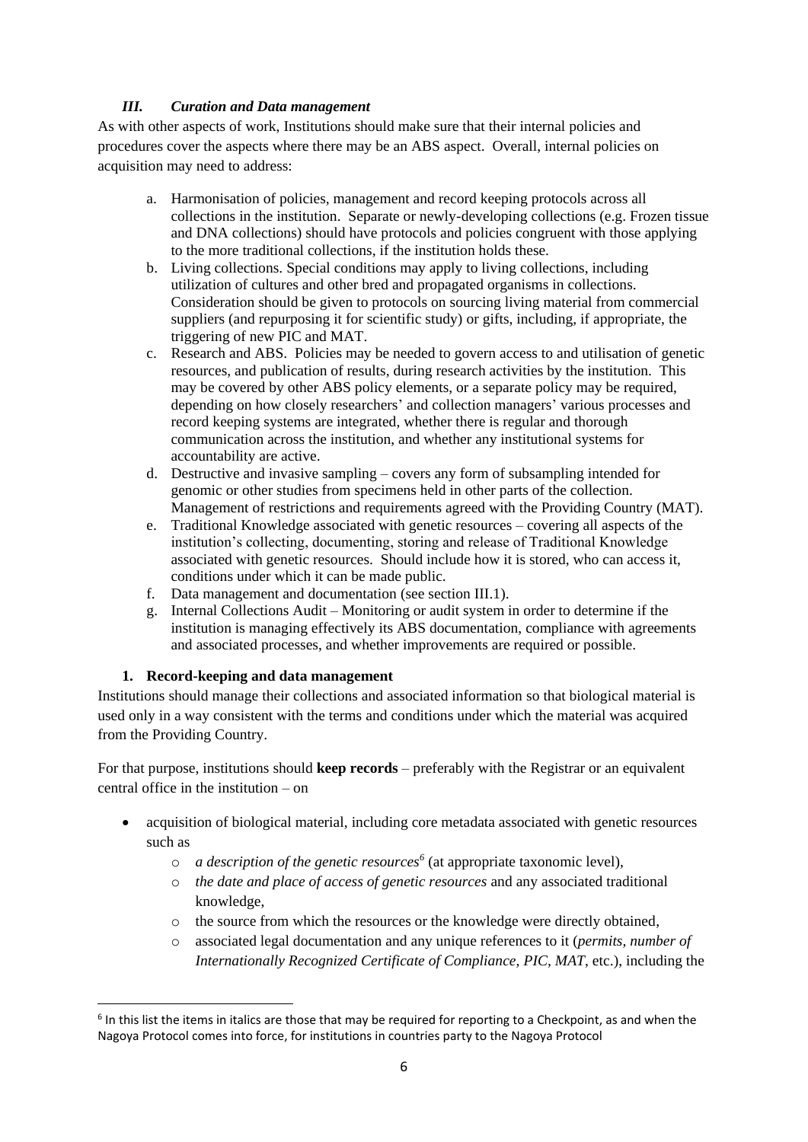## *III. Curation and Data management*

<span id="page-5-0"></span>As with other aspects of work, Institutions should make sure that their internal policies and procedures cover the aspects where there may be an ABS aspect. Overall, internal policies on acquisition may need to address:

- a. Harmonisation of policies, management and record keeping protocols across all collections in the institution. Separate or newly-developing collections (e.g. Frozen tissue and DNA collections) should have protocols and policies congruent with those applying to the more traditional collections, if the institution holds these.
- b. Living collections. Special conditions may apply to living collections, including utilization of cultures and other bred and propagated organisms in collections. Consideration should be given to protocols on sourcing living material from commercial suppliers (and repurposing it for scientific study) or gifts, including, if appropriate, the triggering of new PIC and MAT.
- c. Research and ABS. Policies may be needed to govern access to and utilisation of genetic resources, and publication of results, during research activities by the institution. This may be covered by other ABS policy elements, or a separate policy may be required, depending on how closely researchers' and collection managers' various processes and record keeping systems are integrated, whether there is regular and thorough communication across the institution, and whether any institutional systems for accountability are active.
- d. Destructive and invasive sampling covers any form of subsampling intended for genomic or other studies from specimens held in other parts of the collection. Management of restrictions and requirements agreed with the Providing Country (MAT).
- e. Traditional Knowledge associated with genetic resources covering all aspects of the institution's collecting, documenting, storing and release of Traditional Knowledge associated with genetic resources. Should include how it is stored, who can access it, conditions under which it can be made public.
- f. Data management and documentation (see section III.1).
- g. Internal Collections Audit Monitoring or audit system in order to determine if the institution is managing effectively its ABS documentation, compliance with agreements and associated processes, and whether improvements are required or possible.

## **1. Record-keeping and data management**

<span id="page-5-1"></span>Institutions should manage their collections and associated information so that biological material is used only in a way consistent with the terms and conditions under which the material was acquired from the Providing Country.

For that purpose, institutions should **keep records** – preferably with the Registrar or an equivalent central office in the institution – on

- acquisition of biological material, including core metadata associated with genetic resources such as
	- o *a description of the genetic resources<sup>6</sup>* (at appropriate taxonomic level),
	- o *the date and place of access of genetic resources* and any associated traditional knowledge,
	- o the source from which the resources or the knowledge were directly obtained,
	- o associated legal documentation and any unique references to it (*permits, number of Internationally Recognized Certificate of Compliance, PIC, MAT*, etc.), including the

 $\overline{\phantom{a}}$ <sup>6</sup> In this list the items in italics are those that may be required for reporting to a Checkpoint, as and when the Nagoya Protocol comes into force, for institutions in countries party to the Nagoya Protocol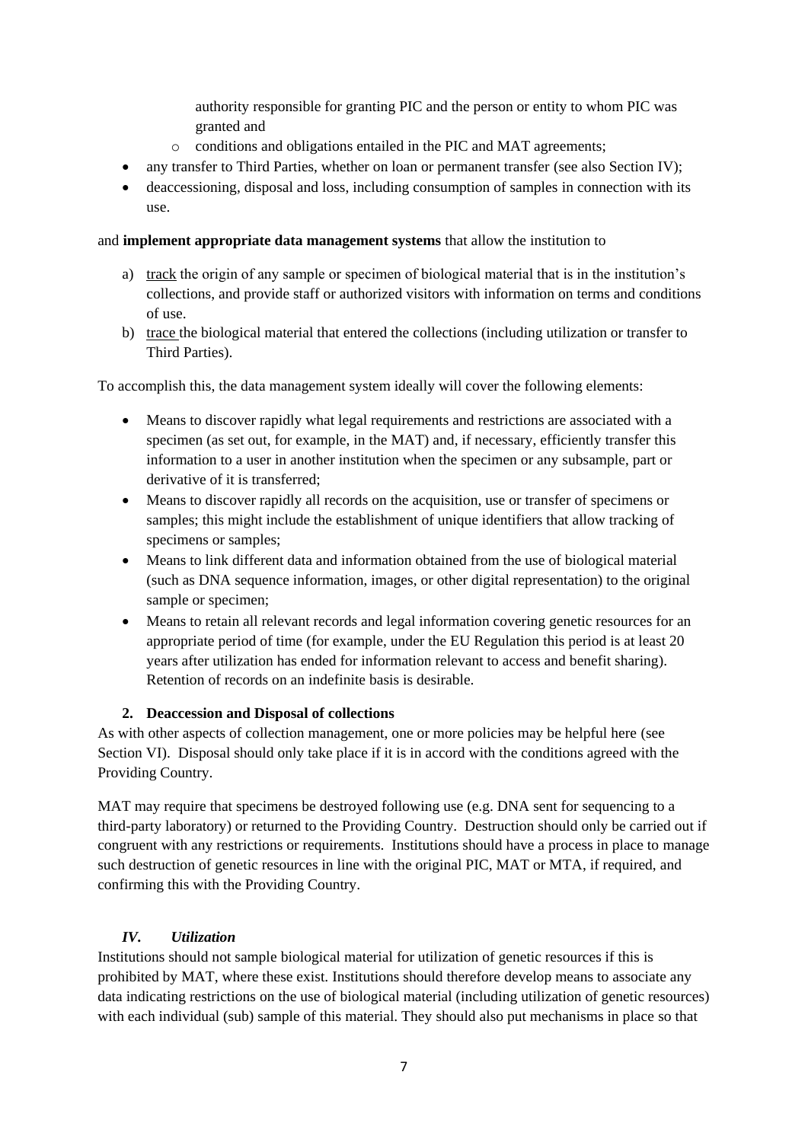authority responsible for granting PIC and the person or entity to whom PIC was granted and

- o conditions and obligations entailed in the PIC and MAT agreements;
- any transfer to Third Parties, whether on loan or permanent transfer (see also Section IV);
- deaccessioning, disposal and loss, including consumption of samples in connection with its use.

#### and **implement appropriate data management systems** that allow the institution to

- a) track the origin of any sample or specimen of biological material that is in the institution's collections, and provide staff or authorized visitors with information on terms and conditions of use.
- b) trace the biological material that entered the collections (including utilization or transfer to Third Parties).

To accomplish this, the data management system ideally will cover the following elements:

- Means to discover rapidly what legal requirements and restrictions are associated with a specimen (as set out, for example, in the MAT) and, if necessary, efficiently transfer this information to a user in another institution when the specimen or any subsample, part or derivative of it is transferred;
- Means to discover rapidly all records on the acquisition, use or transfer of specimens or samples; this might include the establishment of unique identifiers that allow tracking of specimens or samples;
- Means to link different data and information obtained from the use of biological material (such as DNA sequence information, images, or other digital representation) to the original sample or specimen;
- Means to retain all relevant records and legal information covering genetic resources for an appropriate period of time (for example, under the EU Regulation this period is at least 20 years after utilization has ended for information relevant to access and benefit sharing). Retention of records on an indefinite basis is desirable.

## **2. Deaccession and Disposal of collections**

<span id="page-6-0"></span>As with other aspects of collection management, one or more policies may be helpful here (see Section VI). Disposal should only take place if it is in accord with the conditions agreed with the Providing Country.

MAT may require that specimens be destroyed following use (e.g. DNA sent for sequencing to a third-party laboratory) or returned to the Providing Country. Destruction should only be carried out if congruent with any restrictions or requirements. Institutions should have a process in place to manage such destruction of genetic resources in line with the original PIC, MAT or MTA, if required, and confirming this with the Providing Country.

## <span id="page-6-1"></span>*IV. Utilization*

Institutions should not sample biological material for utilization of genetic resources if this is prohibited by MAT, where these exist. Institutions should therefore develop means to associate any data indicating restrictions on the use of biological material (including utilization of genetic resources) with each individual (sub) sample of this material. They should also put mechanisms in place so that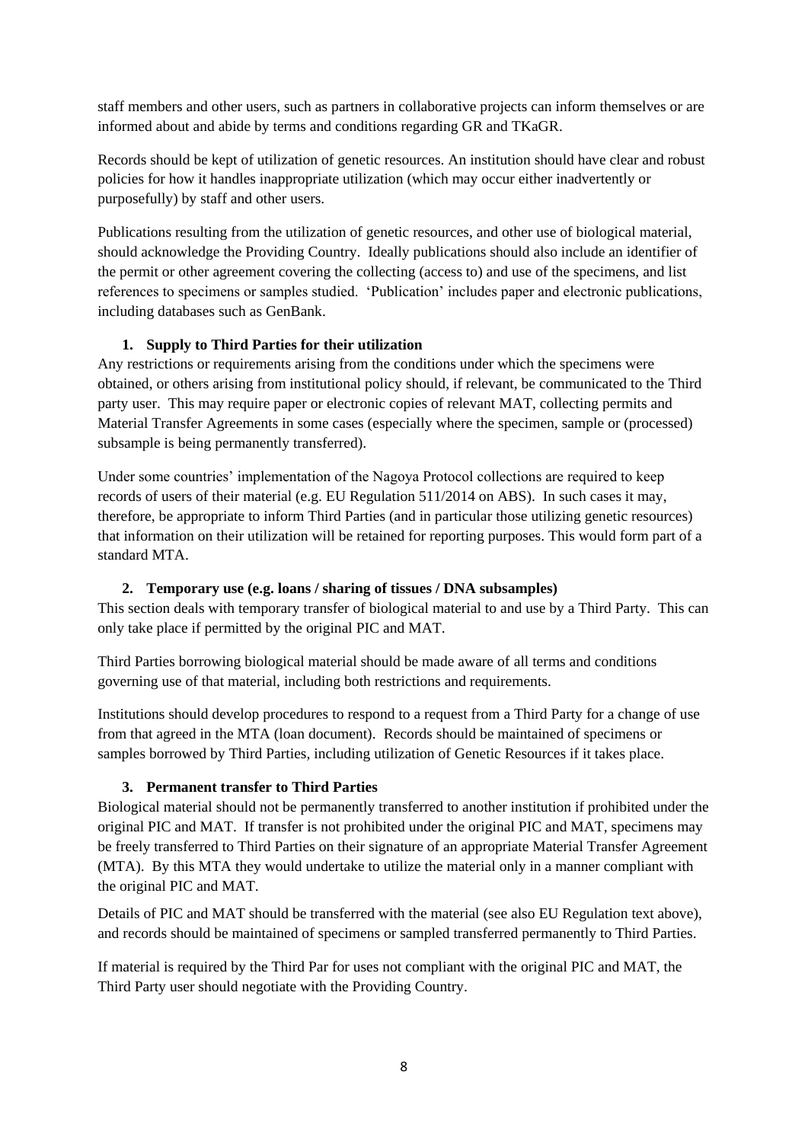staff members and other users, such as partners in collaborative projects can inform themselves or are informed about and abide by terms and conditions regarding GR and TKaGR.

Records should be kept of utilization of genetic resources. An institution should have clear and robust policies for how it handles inappropriate utilization (which may occur either inadvertently or purposefully) by staff and other users.

Publications resulting from the utilization of genetic resources, and other use of biological material, should acknowledge the Providing Country. Ideally publications should also include an identifier of the permit or other agreement covering the collecting (access to) and use of the specimens, and list references to specimens or samples studied. 'Publication' includes paper and electronic publications, including databases such as GenBank.

## **1. Supply to Third Parties for their utilization**

<span id="page-7-0"></span>Any restrictions or requirements arising from the conditions under which the specimens were obtained, or others arising from institutional policy should, if relevant, be communicated to the Third party user. This may require paper or electronic copies of relevant MAT, collecting permits and Material Transfer Agreements in some cases (especially where the specimen, sample or (processed) subsample is being permanently transferred).

Under some countries' implementation of the Nagoya Protocol collections are required to keep records of users of their material (e.g. EU Regulation 511/2014 on ABS). In such cases it may, therefore, be appropriate to inform Third Parties (and in particular those utilizing genetic resources) that information on their utilization will be retained for reporting purposes. This would form part of a standard MTA.

# **2. Temporary use (e.g. loans / sharing of tissues / DNA subsamples)**

<span id="page-7-1"></span>This section deals with temporary transfer of biological material to and use by a Third Party. This can only take place if permitted by the original PIC and MAT.

Third Parties borrowing biological material should be made aware of all terms and conditions governing use of that material, including both restrictions and requirements.

Institutions should develop procedures to respond to a request from a Third Party for a change of use from that agreed in the MTA (loan document). Records should be maintained of specimens or samples borrowed by Third Parties, including utilization of Genetic Resources if it takes place.

## **3. Permanent transfer to Third Parties**

<span id="page-7-2"></span>Biological material should not be permanently transferred to another institution if prohibited under the original PIC and MAT. If transfer is not prohibited under the original PIC and MAT, specimens may be freely transferred to Third Parties on their signature of an appropriate Material Transfer Agreement (MTA). By this MTA they would undertake to utilize the material only in a manner compliant with the original PIC and MAT.

Details of PIC and MAT should be transferred with the material (see also EU Regulation text above), and records should be maintained of specimens or sampled transferred permanently to Third Parties.

If material is required by the Third Par for uses not compliant with the original PIC and MAT, the Third Party user should negotiate with the Providing Country.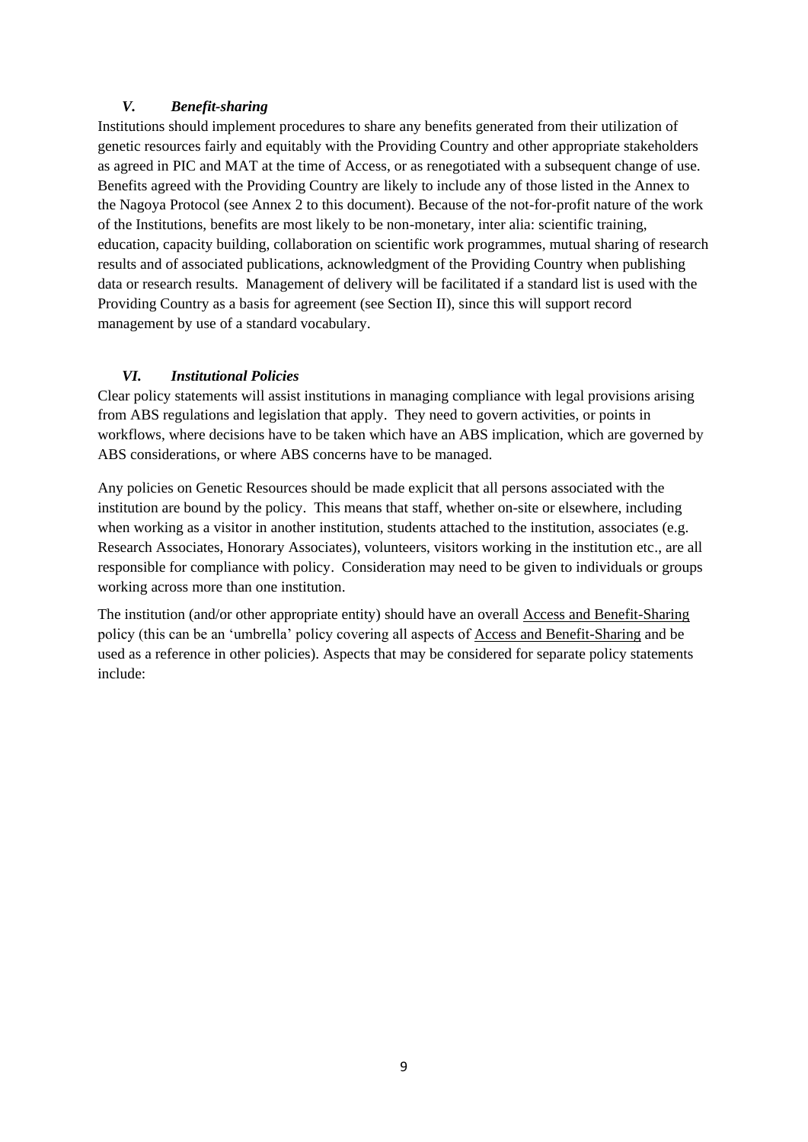## *V. Benefit-sharing*

<span id="page-8-0"></span>Institutions should implement procedures to share any benefits generated from their utilization of genetic resources fairly and equitably with the Providing Country and other appropriate stakeholders as agreed in PIC and MAT at the time of Access, or as renegotiated with a subsequent change of use. Benefits agreed with the Providing Country are likely to include any of those listed in the Annex to the Nagoya Protocol (see Annex 2 to this document). Because of the not-for-profit nature of the work of the Institutions, benefits are most likely to be non-monetary, inter alia: scientific training, education, capacity building, collaboration on scientific work programmes, mutual sharing of research results and of associated publications, acknowledgment of the Providing Country when publishing data or research results. Management of delivery will be facilitated if a standard list is used with the Providing Country as a basis for agreement (see Section II), since this will support record management by use of a standard vocabulary.

## <span id="page-8-1"></span>*VI. Institutional Policies*

Clear policy statements will assist institutions in managing compliance with legal provisions arising from ABS regulations and legislation that apply. They need to govern activities, or points in workflows, where decisions have to be taken which have an ABS implication, which are governed by ABS considerations, or where ABS concerns have to be managed.

Any policies on Genetic Resources should be made explicit that all persons associated with the institution are bound by the policy. This means that staff, whether on-site or elsewhere, including when working as a visitor in another institution, students attached to the institution, associates (e.g. Research Associates, Honorary Associates), volunteers, visitors working in the institution etc., are all responsible for compliance with policy. Consideration may need to be given to individuals or groups working across more than one institution.

The institution (and/or other appropriate entity) should have an overall Access and Benefit-Sharing policy (this can be an 'umbrella' policy covering all aspects of Access and Benefit-Sharing and be used as a reference in other policies). Aspects that may be considered for separate policy statements include: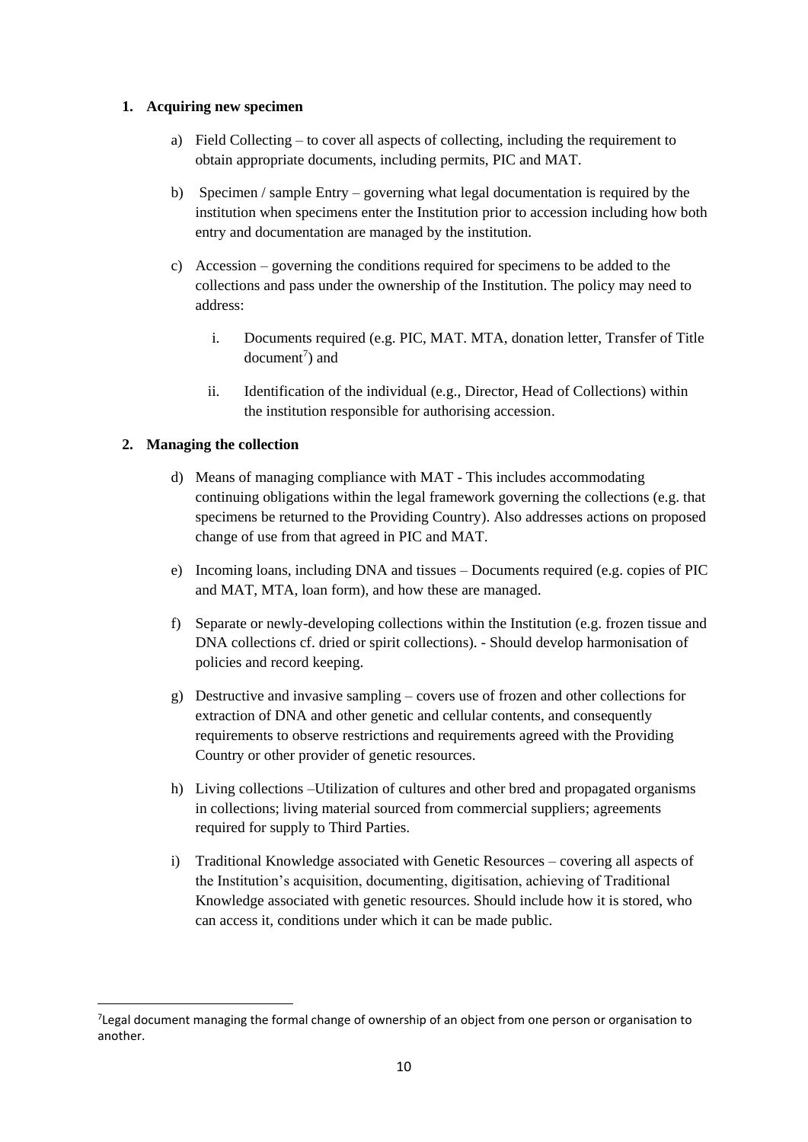#### <span id="page-9-0"></span>**1. Acquiring new specimen**

- a) Field Collecting to cover all aspects of collecting, including the requirement to obtain appropriate documents, including permits, PIC and MAT.
- b) Specimen / sample Entry governing what legal documentation is required by the institution when specimens enter the Institution prior to accession including how both entry and documentation are managed by the institution.
- c) Accession governing the conditions required for specimens to be added to the collections and pass under the ownership of the Institution. The policy may need to address:
	- i. Documents required (e.g. PIC, MAT. MTA, donation letter, Transfer of Title  $document<sup>7</sup>)$  and
	- ii. Identification of the individual (e.g., Director, Head of Collections) within the institution responsible for authorising accession.

## <span id="page-9-1"></span>**2. Managing the collection**

 $\overline{\phantom{a}}$ 

- d) Means of managing compliance with MAT This includes accommodating continuing obligations within the legal framework governing the collections (e.g. that specimens be returned to the Providing Country). Also addresses actions on proposed change of use from that agreed in PIC and MAT.
- e) Incoming loans, including DNA and tissues Documents required (e.g. copies of PIC and MAT, MTA, loan form), and how these are managed.
- f) Separate or newly-developing collections within the Institution (e.g. frozen tissue and DNA collections cf. dried or spirit collections). - Should develop harmonisation of policies and record keeping.
- g) Destructive and invasive sampling covers use of frozen and other collections for extraction of DNA and other genetic and cellular contents, and consequently requirements to observe restrictions and requirements agreed with the Providing Country or other provider of genetic resources.
- h) Living collections –Utilization of cultures and other bred and propagated organisms in collections; living material sourced from commercial suppliers; agreements required for supply to Third Parties.
- i) Traditional Knowledge associated with Genetic Resources covering all aspects of the Institution's acquisition, documenting, digitisation, achieving of Traditional Knowledge associated with genetic resources. Should include how it is stored, who can access it, conditions under which it can be made public.

<sup>7</sup> Legal document managing the formal change of ownership of an object from one person or organisation to another.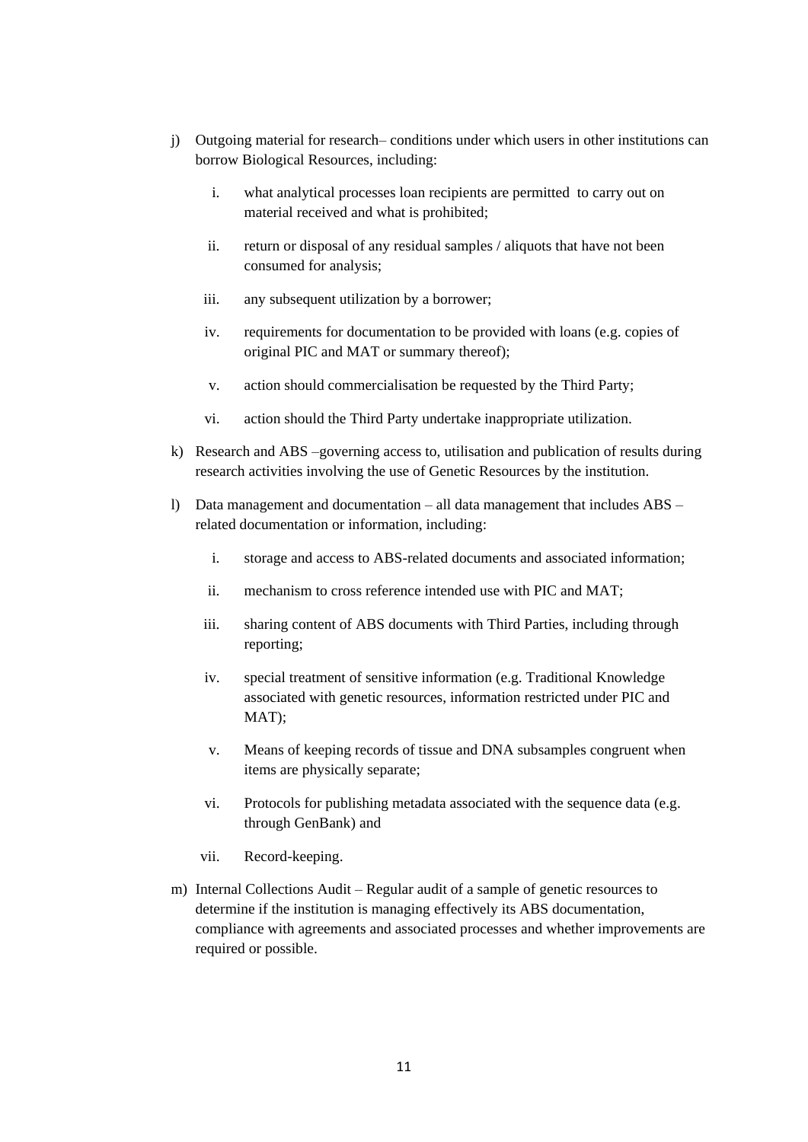- j) Outgoing material for research– conditions under which users in other institutions can borrow Biological Resources, including:
	- i. what analytical processes loan recipients are permitted to carry out on material received and what is prohibited;
	- ii. return or disposal of any residual samples / aliquots that have not been consumed for analysis;
	- iii. any subsequent utilization by a borrower;
	- iv. requirements for documentation to be provided with loans (e.g. copies of original PIC and MAT or summary thereof);
	- v. action should commercialisation be requested by the Third Party;
	- vi. action should the Third Party undertake inappropriate utilization.
- k) Research and ABS –governing access to, utilisation and publication of results during research activities involving the use of Genetic Resources by the institution.
- l) Data management and documentation all data management that includes ABS related documentation or information, including:
	- i. storage and access to ABS-related documents and associated information;
	- ii. mechanism to cross reference intended use with PIC and MAT;
	- iii. sharing content of ABS documents with Third Parties, including through reporting;
	- iv. special treatment of sensitive information (e.g. Traditional Knowledge associated with genetic resources, information restricted under PIC and MAT);
	- v. Means of keeping records of tissue and DNA subsamples congruent when items are physically separate;
	- vi. Protocols for publishing metadata associated with the sequence data (e.g. through GenBank) and
	- vii. Record-keeping.
- m) Internal Collections Audit Regular audit of a sample of genetic resources to determine if the institution is managing effectively its ABS documentation, compliance with agreements and associated processes and whether improvements are required or possible.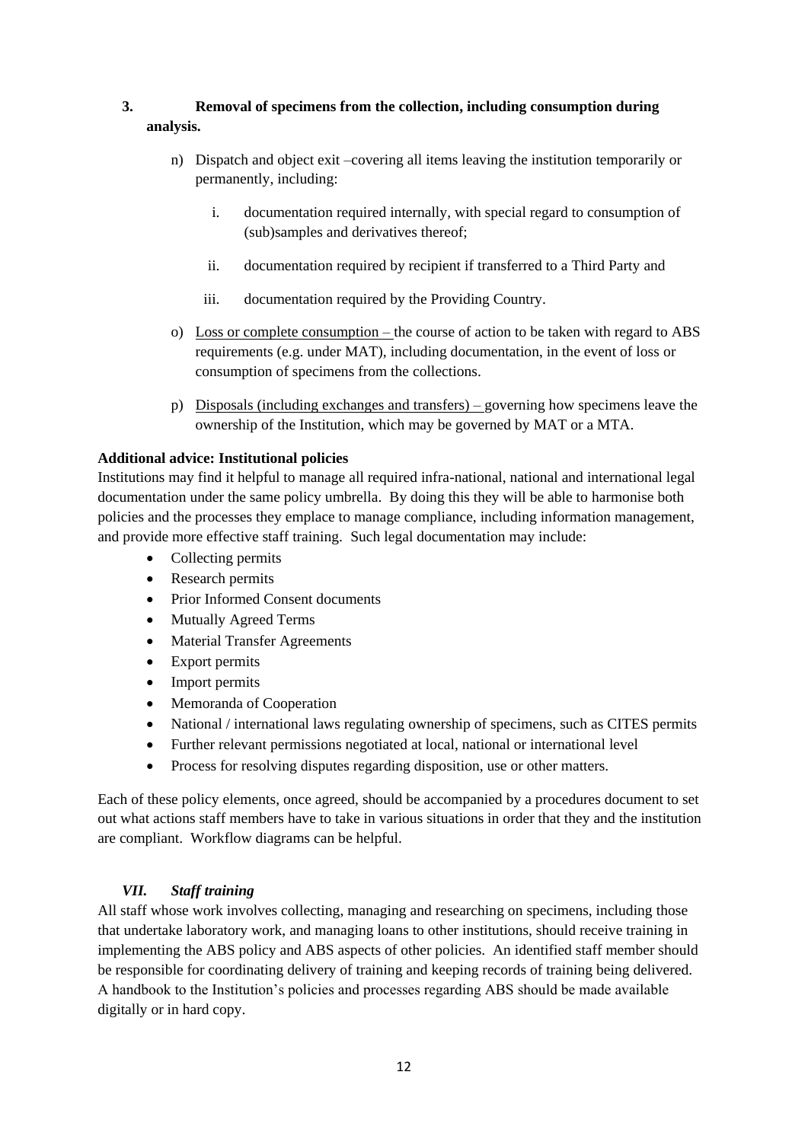## **3. Removal of specimens from the collection, including consumption during analysis.**

- <span id="page-11-0"></span>n) Dispatch and object exit –covering all items leaving the institution temporarily or permanently, including:
	- i. documentation required internally, with special regard to consumption of (sub)samples and derivatives thereof;
	- ii. documentation required by recipient if transferred to a Third Party and
	- iii. documentation required by the Providing Country.
- o) Loss or complete consumption the course of action to be taken with regard to ABS requirements (e.g. under MAT), including documentation, in the event of loss or consumption of specimens from the collections.
- p) Disposals (including exchanges and transfers) governing how specimens leave the ownership of the Institution, which may be governed by MAT or a MTA.

## **Additional advice: Institutional policies**

Institutions may find it helpful to manage all required infra-national, national and international legal documentation under the same policy umbrella. By doing this they will be able to harmonise both policies and the processes they emplace to manage compliance, including information management, and provide more effective staff training. Such legal documentation may include:

- Collecting permits
- Research permits
- Prior Informed Consent documents
- Mutually Agreed Terms
- Material Transfer Agreements
- Export permits
- Import permits
- Memoranda of Cooperation
- National / international laws regulating ownership of specimens, such as CITES permits
- Further relevant permissions negotiated at local, national or international level
- Process for resolving disputes regarding disposition, use or other matters.

Each of these policy elements, once agreed, should be accompanied by a procedures document to set out what actions staff members have to take in various situations in order that they and the institution are compliant. Workflow diagrams can be helpful.

## <span id="page-11-1"></span>*VII. Staff training*

All staff whose work involves collecting, managing and researching on specimens, including those that undertake laboratory work, and managing loans to other institutions, should receive training in implementing the ABS policy and ABS aspects of other policies. An identified staff member should be responsible for coordinating delivery of training and keeping records of training being delivered. A handbook to the Institution's policies and processes regarding ABS should be made available digitally or in hard copy.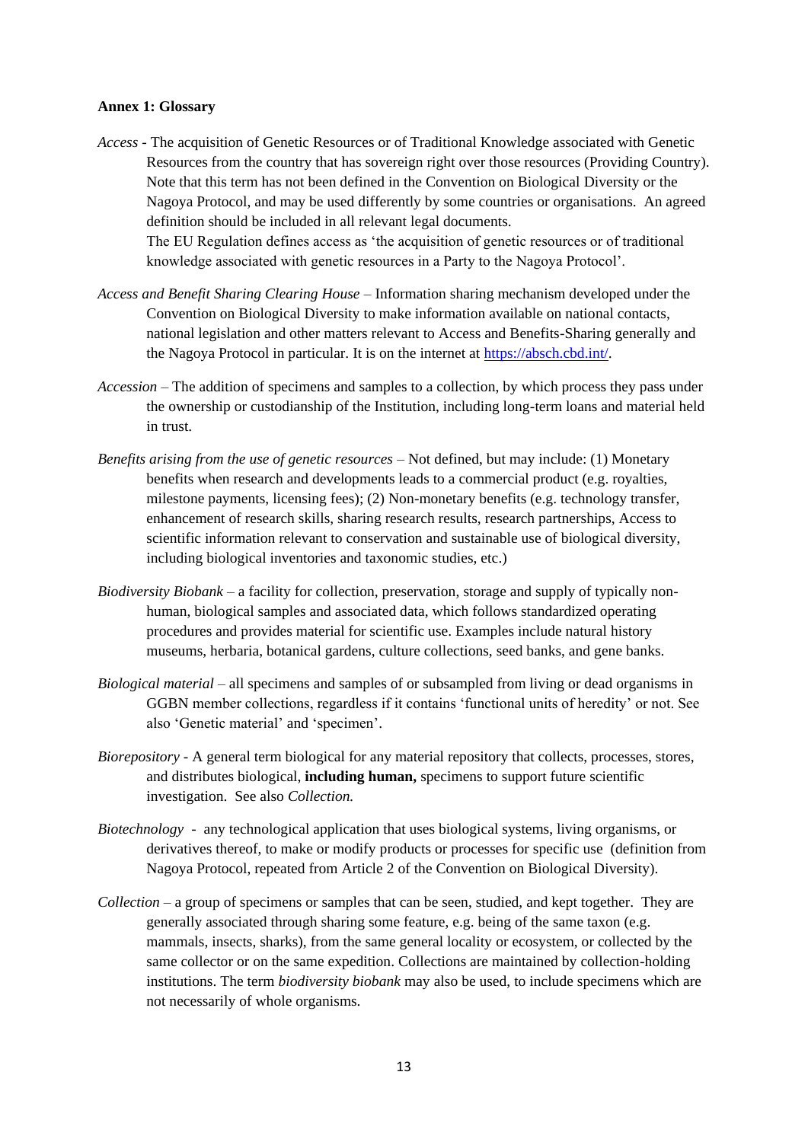#### <span id="page-12-0"></span>**Annex 1: Glossary**

- *Access* The acquisition of Genetic Resources or of Traditional Knowledge associated with Genetic Resources from the country that has sovereign right over those resources (Providing Country). Note that this term has not been defined in the Convention on Biological Diversity or the Nagoya Protocol, and may be used differently by some countries or organisations. An agreed definition should be included in all relevant legal documents. The EU Regulation defines access as 'the acquisition of genetic resources or of traditional knowledge associated with genetic resources in a Party to the Nagoya Protocol'.
- *Access and Benefit Sharing Clearing House –* Information sharing mechanism developed under the Convention on Biological Diversity to make information available on national contacts, national legislation and other matters relevant to Access and Benefits-Sharing generally and the Nagoya Protocol in particular. It is on the internet at [https://absch.cbd.int/.](https://absch.cbd.int/)
- *Accession –* The addition of specimens and samples to a collection, by which process they pass under the ownership or custodianship of the Institution, including long-term loans and material held in trust.
- *Benefits arising from the use of genetic resources* Not defined, but may include: (1) Monetary benefits when research and developments leads to a commercial product (e.g. royalties, milestone payments, licensing fees); (2) Non-monetary benefits (e.g. technology transfer, enhancement of research skills, sharing research results, research partnerships, Access to scientific information relevant to conservation and sustainable use of biological diversity, including biological inventories and taxonomic studies, etc.)
- *Biodiversity Biobank –* a facility for collection, preservation, storage and supply of typically nonhuman, biological samples and associated data, which follows standardized operating procedures and provides material for scientific use. Examples include natural history museums, herbaria, botanical gardens, culture collections, seed banks, and gene banks.
- *Biological material*  all specimens and samples of or subsampled from living or dead organisms in GGBN member collections, regardless if it contains 'functional units of heredity' or not. See also 'Genetic material' and 'specimen'.
- *Biorepository -* A general term biological for any material repository that collects, processes, stores, and distributes biological, **including human,** specimens to support future scientific investigation. See also *Collection.*
- *Biotechnology* any technological application that uses biological systems, living organisms, or derivatives thereof, to make or modify products or processes for specific use (definition from Nagoya Protocol, repeated from Article 2 of the Convention on Biological Diversity).
- *Collection –* a group of specimens or samples that can be seen, studied, and kept together. They are generally associated through sharing some feature, e.g. being of the same taxon (e.g. mammals, insects, sharks), from the same general locality or ecosystem, or collected by the same collector or on the same expedition. Collections are maintained by collection-holding institutions. The term *biodiversity biobank* may also be used, to include specimens which are not necessarily of whole organisms.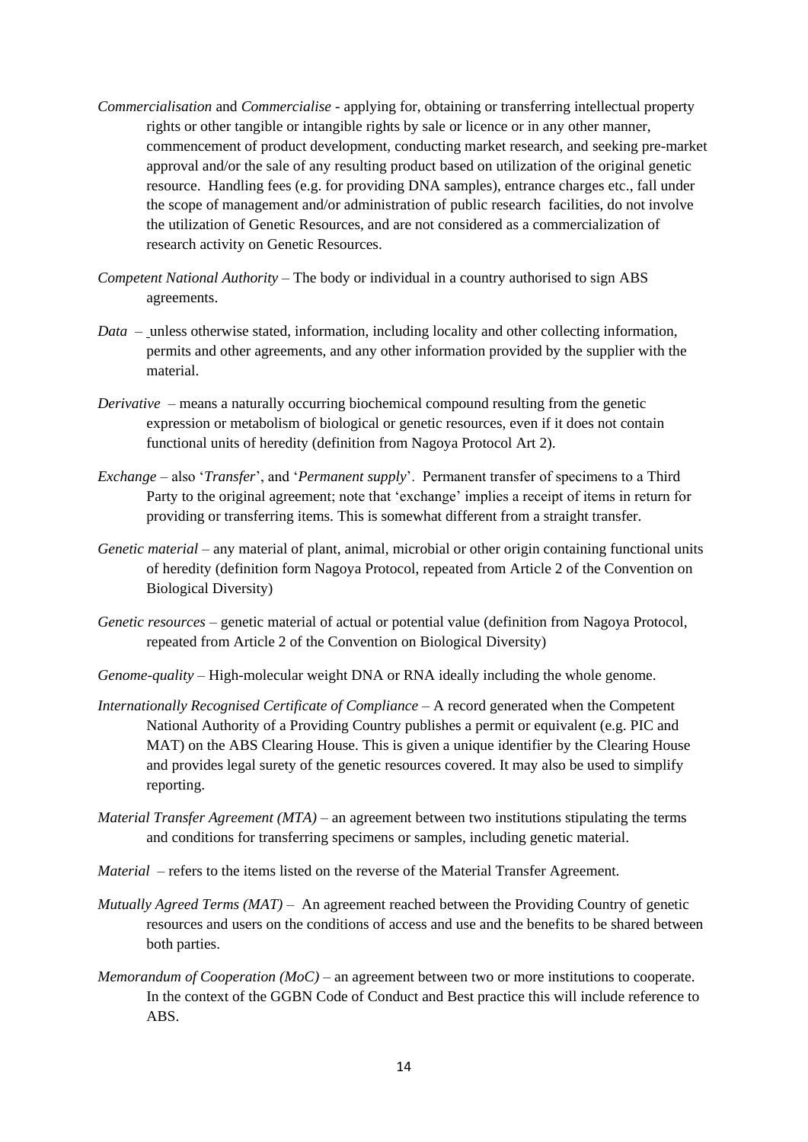- *Commercialisation* and *Commercialise -* applying for, obtaining or transferring intellectual property rights or other tangible or intangible rights by sale or licence or in any other manner, commencement of product development, conducting market research, and seeking pre-market approval and/or the sale of any resulting product based on utilization of the original genetic resource. Handling fees (e.g. for providing DNA samples), entrance charges etc., fall under the scope of management and/or administration of public research facilities, do not involve the utilization of Genetic Resources, and are not considered as a commercialization of research activity on Genetic Resources.
- *Competent National Authority*  The body or individual in a country authorised to sign ABS agreements.
- *Data* unless otherwise stated, information, including locality and other collecting information, permits and other agreements, and any other information provided by the supplier with the material.
- *Derivative* means a naturally occurring biochemical compound resulting from the genetic expression or metabolism of biological or genetic resources, even if it does not contain functional units of heredity (definition from Nagoya Protocol Art 2).
- *Exchange*  also '*Transfer*', and '*Permanent supply*'. Permanent transfer of specimens to a Third Party to the original agreement; note that 'exchange' implies a receipt of items in return for providing or transferring items. This is somewhat different from a straight transfer.
- *Genetic material* any material of plant, animal, microbial or other origin containing functional units of heredity (definition form Nagoya Protocol, repeated from Article 2 of the Convention on Biological Diversity)
- *Genetic resources* genetic material of actual or potential value (definition from Nagoya Protocol, repeated from Article 2 of the Convention on Biological Diversity)
- *Genome-quality* High-molecular weight DNA or RNA ideally including the whole genome.
- *Internationally Recognised Certificate of Compliance*  A record generated when the Competent National Authority of a Providing Country publishes a permit or equivalent (e.g. PIC and MAT) on the ABS Clearing House. This is given a unique identifier by the Clearing House and provides legal surety of the genetic resources covered. It may also be used to simplify reporting.
- *Material Transfer Agreement (MTA)* an agreement between two institutions stipulating the terms and conditions for transferring specimens or samples, including genetic material.
- *Material* refers to the items listed on the reverse of the Material Transfer Agreement.
- *Mutually Agreed Terms (MAT)* An agreement reached between the Providing Country of genetic resources and users on the conditions of access and use and the benefits to be shared between both parties.
- *Memorandum of Cooperation (MoC)* an agreement between two or more institutions to cooperate. In the context of the GGBN Code of Conduct and Best practice this will include reference to ABS.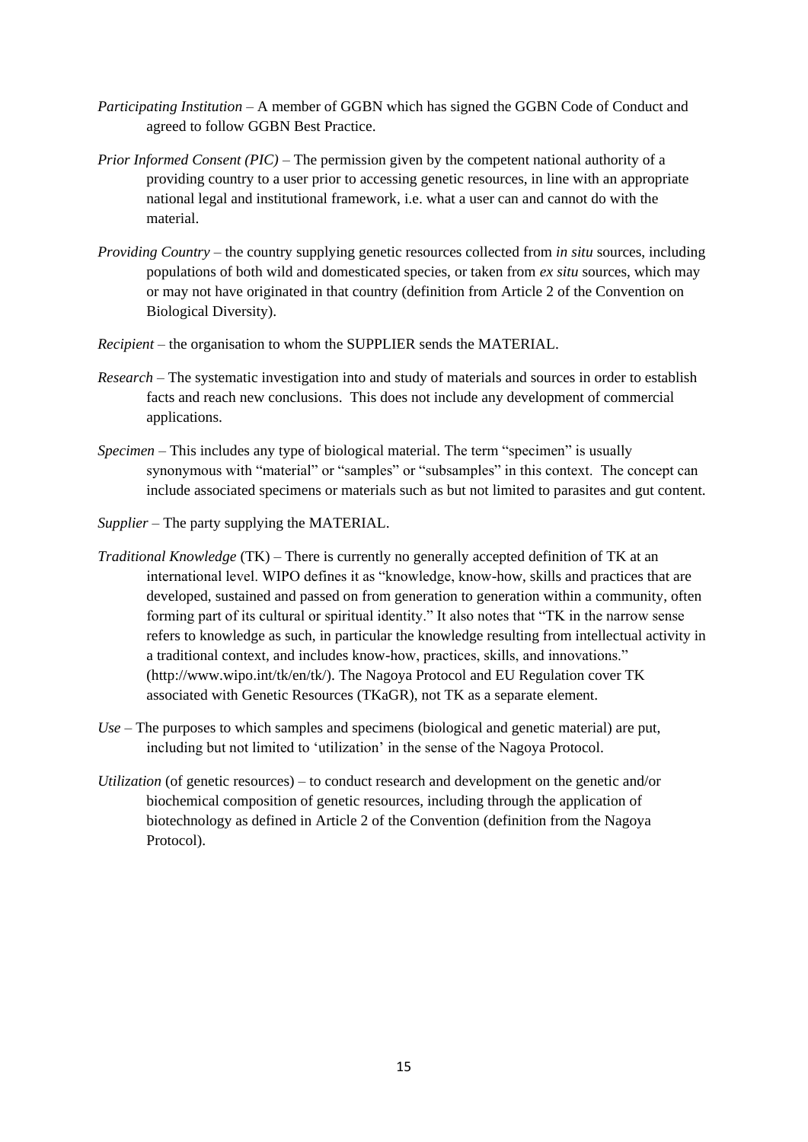- *Participating Institution*  A member of GGBN which has signed the GGBN Code of Conduct and agreed to follow GGBN Best Practice.
- *Prior Informed Consent (PIC)* The permission given by the competent national authority of a providing country to a user prior to accessing genetic resources, in line with an appropriate national legal and institutional framework, i.e. what a user can and cannot do with the material.
- *Providing Country* the country supplying genetic resources collected from *in situ* sources, including populations of both wild and domesticated species, or taken from *ex situ* sources, which may or may not have originated in that country (definition from Article 2 of the Convention on Biological Diversity).
- *Recipient* the organisation to whom the SUPPLIER sends the MATERIAL.
- *Research*  The systematic investigation into and study of materials and sources in order to establish facts and reach new conclusions. This does not include any development of commercial applications.
- *Specimen*  This includes any type of biological material. The term "specimen" is usually synonymous with "material" or "samples" or "subsamples" in this context. The concept can include associated specimens or materials such as but not limited to parasites and gut content.
- *Supplier* The party supplying the MATERIAL.
- *Traditional Knowledge* (TK) There is currently no generally accepted definition of TK at an international level. WIPO defines it as "knowledge, know-how, skills and practices that are developed, sustained and passed on from generation to generation within a community, often forming part of its cultural or spiritual identity." It also notes that "TK in the narrow sense refers to knowledge as such, in particular the knowledge resulting from intellectual activity in a traditional context, and includes know-how, practices, skills, and innovations." (http://www.wipo.int/tk/en/tk/). The Nagoya Protocol and EU Regulation cover TK associated with Genetic Resources (TKaGR), not TK as a separate element.
- *Use* The purposes to which samples and specimens (biological and genetic material) are put, including but not limited to 'utilization' in the sense of the Nagoya Protocol.
- *Utilization* (of genetic resources) to conduct research and development on the genetic and/or biochemical composition of genetic resources, including through the application of biotechnology as defined in Article 2 of the Convention (definition from the Nagoya Protocol).